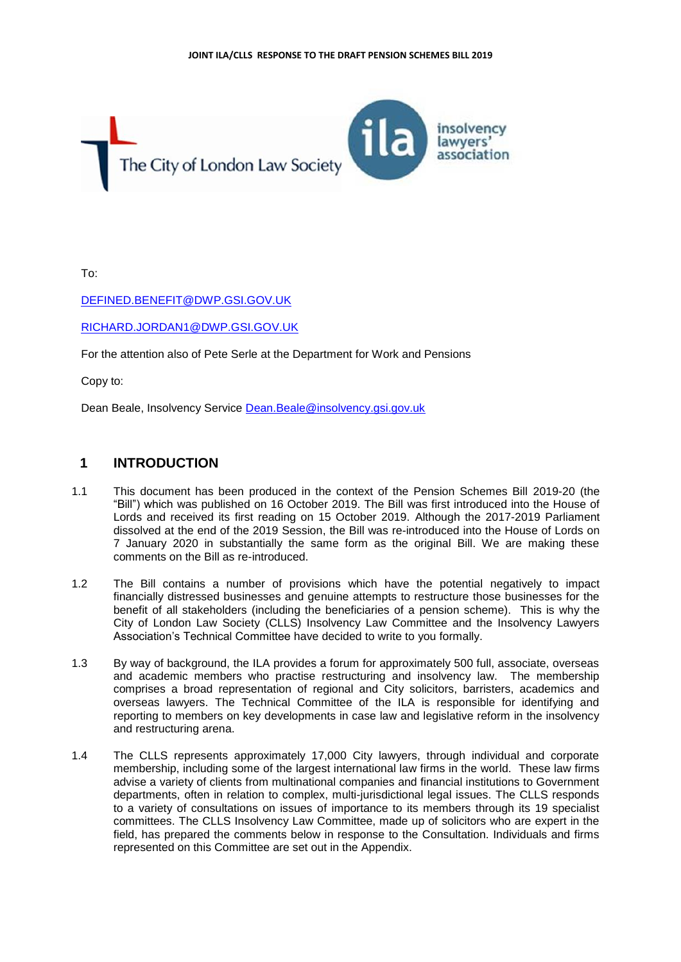

To:

### [DEFINED.BENEFIT@DWP.GSI.GOV.UK](mailto:DEFINED.BENEFIT@DWP.GSI.GOV.UK)

#### [RICHARD.JORDAN1@DWP.GSI.GOV.UK](mailto:RICHARD.JORDAN1@DWP.GSI.GOV.UK)

For the attention also of Pete Serle at the Department for Work and Pensions

Copy to:

Dean Beale, Insolvency Service [Dean.Beale@insolvency.gsi.gov.uk](mailto:Dean.Beale@insolvency.gsi.gov.uk)

## **1 INTRODUCTION**

- 1.1 This document has been produced in the context of the Pension Schemes Bill 2019-20 (the "Bill") which was published on 16 October 2019. The Bill was first introduced into the House of Lords and received its first reading on 15 October 2019. Although the 2017-2019 Parliament dissolved at the end of the 2019 Session, the Bill was re-introduced into the House of Lords on 7 January 2020 in substantially the same form as the original Bill. We are making these comments on the Bill as re-introduced.
- 1.2 The Bill contains a number of provisions which have the potential negatively to impact financially distressed businesses and genuine attempts to restructure those businesses for the benefit of all stakeholders (including the beneficiaries of a pension scheme). This is why the City of London Law Society (CLLS) Insolvency Law Committee and the Insolvency Lawyers Association's Technical Committee have decided to write to you formally.
- 1.3 By way of background, the ILA provides a forum for approximately 500 full, associate, overseas and academic members who practise restructuring and insolvency law. The membership comprises a broad representation of regional and City solicitors, barristers, academics and overseas lawyers. The Technical Committee of the ILA is responsible for identifying and reporting to members on key developments in case law and legislative reform in the insolvency and restructuring arena.
- 1.4 The CLLS represents approximately 17,000 City lawyers, through individual and corporate membership, including some of the largest international law firms in the world. These law firms advise a variety of clients from multinational companies and financial institutions to Government departments, often in relation to complex, multi-jurisdictional legal issues. The CLLS responds to a variety of consultations on issues of importance to its members through its 19 specialist committees. The CLLS Insolvency Law Committee, made up of solicitors who are expert in the field, has prepared the comments below in response to the Consultation. Individuals and firms represented on this Committee are set out in the Appendix.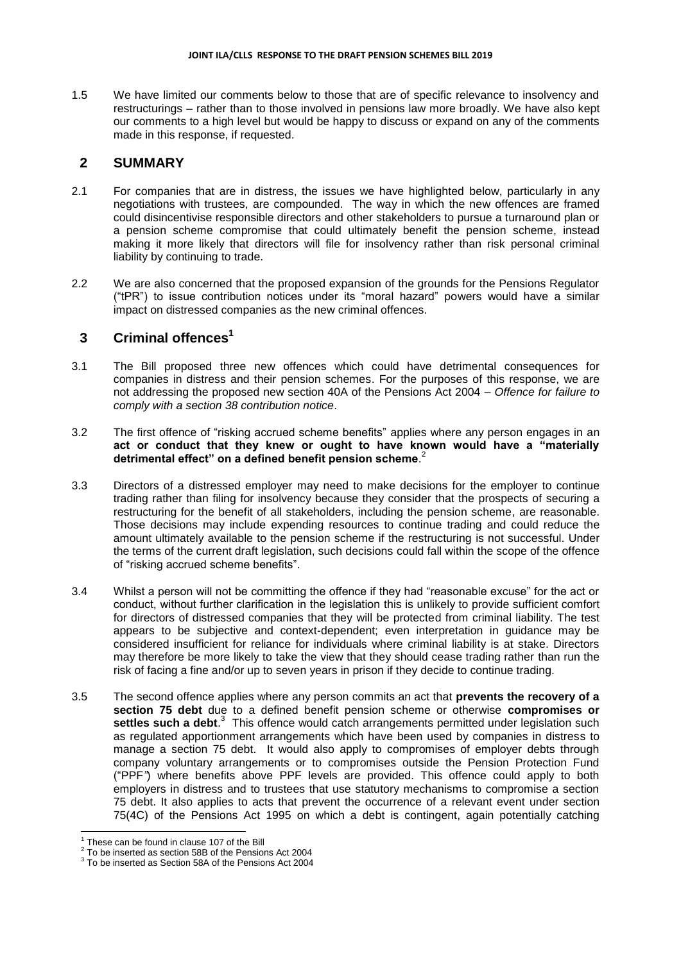1.5 We have limited our comments below to those that are of specific relevance to insolvency and restructurings – rather than to those involved in pensions law more broadly. We have also kept our comments to a high level but would be happy to discuss or expand on any of the comments made in this response, if requested.

#### **2 SUMMARY**

- 2.1 For companies that are in distress, the issues we have highlighted below, particularly in any negotiations with trustees, are compounded. The way in which the new offences are framed could disincentivise responsible directors and other stakeholders to pursue a turnaround plan or a pension scheme compromise that could ultimately benefit the pension scheme, instead making it more likely that directors will file for insolvency rather than risk personal criminal liability by continuing to trade.
- 2.2 We are also concerned that the proposed expansion of the grounds for the Pensions Regulator ("tPR") to issue contribution notices under its "moral hazard" powers would have a similar impact on distressed companies as the new criminal offences.

## **3 Criminal offences<sup>1</sup>**

- 3.1 The Bill proposed three new offences which could have detrimental consequences for companies in distress and their pension schemes. For the purposes of this response, we are not addressing the proposed new section 40A of the Pensions Act 2004 – *Offence for failure to comply with a section 38 contribution notice*.
- 3.2 The first offence of "risking accrued scheme benefits" applies where any person engages in an **act or conduct that they knew or ought to have known would have a "materially detrimental effect" on a defined benefit pension scheme**. 2
- 3.3 Directors of a distressed employer may need to make decisions for the employer to continue trading rather than filing for insolvency because they consider that the prospects of securing a restructuring for the benefit of all stakeholders, including the pension scheme, are reasonable. Those decisions may include expending resources to continue trading and could reduce the amount ultimately available to the pension scheme if the restructuring is not successful. Under the terms of the current draft legislation, such decisions could fall within the scope of the offence of "risking accrued scheme benefits".
- 3.4 Whilst a person will not be committing the offence if they had "reasonable excuse" for the act or conduct, without further clarification in the legislation this is unlikely to provide sufficient comfort for directors of distressed companies that they will be protected from criminal liability. The test appears to be subjective and context-dependent; even interpretation in guidance may be considered insufficient for reliance for individuals where criminal liability is at stake. Directors may therefore be more likely to take the view that they should cease trading rather than run the risk of facing a fine and/or up to seven years in prison if they decide to continue trading.
- 3.5 The second offence applies where any person commits an act that **prevents the recovery of a section 75 debt** due to a defined benefit pension scheme or otherwise **compromises or**  settles such a debt.<sup>3</sup> This offence would catch arrangements permitted under legislation such as regulated apportionment arrangements which have been used by companies in distress to manage a section 75 debt. It would also apply to compromises of employer debts through company voluntary arrangements or to compromises outside the Pension Protection Fund ("PPF*"*) where benefits above PPF levels are provided. This offence could apply to both employers in distress and to trustees that use statutory mechanisms to compromise a section 75 debt. It also applies to acts that prevent the occurrence of a relevant event under section 75(4C) of the Pensions Act 1995 on which a debt is contingent, again potentially catching

ł

 $1$  These can be found in clause 107 of the Bill

 $2$  To be inserted as section 58B of the Pensions Act 2004

 $3$  To be inserted as Section 58A of the Pensions Act 2004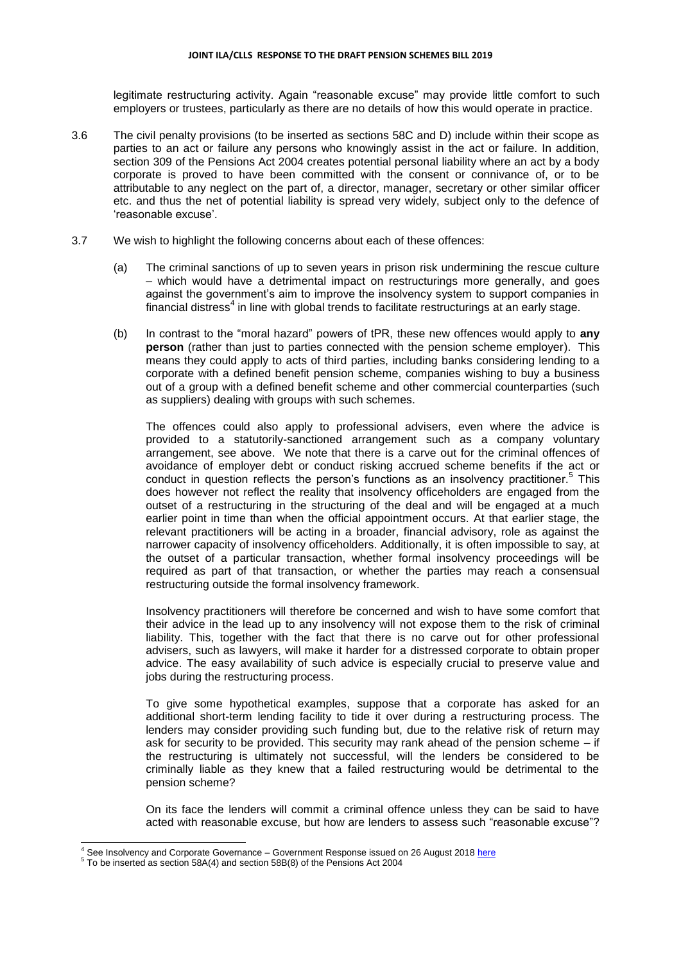#### **JOINT ILA/CLLS RESPONSE TO THE DRAFT PENSION SCHEMES BILL 2019**

legitimate restructuring activity. Again "reasonable excuse" may provide little comfort to such employers or trustees, particularly as there are no details of how this would operate in practice.

- 3.6 The civil penalty provisions (to be inserted as sections 58C and D) include within their scope as parties to an act or failure any persons who knowingly assist in the act or failure. In addition, section 309 of the Pensions Act 2004 creates potential personal liability where an act by a body corporate is proved to have been committed with the consent or connivance of, or to be attributable to any neglect on the part of, a director, manager, secretary or other similar officer etc. and thus the net of potential liability is spread very widely, subject only to the defence of 'reasonable excuse'.
- 3.7 We wish to highlight the following concerns about each of these offences:
	- (a) The criminal sanctions of up to seven years in prison risk undermining the rescue culture – which would have a detrimental impact on restructurings more generally, and goes against the government's aim to improve the insolvency system to support companies in financial distress<sup>4</sup> in line with global trends to facilitate restructurings at an early stage.
	- (b) In contrast to the "moral hazard" powers of tPR, these new offences would apply to **any person** (rather than just to parties connected with the pension scheme employer). This means they could apply to acts of third parties, including banks considering lending to a corporate with a defined benefit pension scheme, companies wishing to buy a business out of a group with a defined benefit scheme and other commercial counterparties (such as suppliers) dealing with groups with such schemes.

The offences could also apply to professional advisers, even where the advice is provided to a statutorily-sanctioned arrangement such as a company voluntary arrangement, see above. We note that there is a carve out for the criminal offences of avoidance of employer debt or conduct risking accrued scheme benefits if the act or conduct in question reflects the person's functions as an insolvency practitioner.<sup>5</sup> This does however not reflect the reality that insolvency officeholders are engaged from the outset of a restructuring in the structuring of the deal and will be engaged at a much earlier point in time than when the official appointment occurs. At that earlier stage, the relevant practitioners will be acting in a broader, financial advisory, role as against the narrower capacity of insolvency officeholders. Additionally, it is often impossible to say, at the outset of a particular transaction, whether formal insolvency proceedings will be required as part of that transaction, or whether the parties may reach a consensual restructuring outside the formal insolvency framework.

Insolvency practitioners will therefore be concerned and wish to have some comfort that their advice in the lead up to any insolvency will not expose them to the risk of criminal liability. This, together with the fact that there is no carve out for other professional advisers, such as lawyers, will make it harder for a distressed corporate to obtain proper advice. The easy availability of such advice is especially crucial to preserve value and jobs during the restructuring process.

To give some hypothetical examples, suppose that a corporate has asked for an additional short-term lending facility to tide it over during a restructuring process. The lenders may consider providing such funding but, due to the relative risk of return may ask for security to be provided. This security may rank ahead of the pension scheme – if the restructuring is ultimately not successful, will the lenders be considered to be criminally liable as they knew that a failed restructuring would be detrimental to the pension scheme?

On its face the lenders will commit a criminal offence unless they can be said to have acted with reasonable excuse, but how are lenders to assess such "reasonable excuse"?

ł

<sup>&</sup>lt;sup>4</sup> See Insolvency and Corporate Governance – Government Response issued on 26 August 201[8 here](https://assets.publishing.service.gov.uk/government/uploads/system/uploads/attachment_data/file/736163/ICG_-_Government_response_doc_-_24_Aug_clean_version__with_Minister_s_photo_and_signature__AC.pdf)

 $5$  To be inserted as section 58A(4) and section 58B(8) of the Pensions Act 2004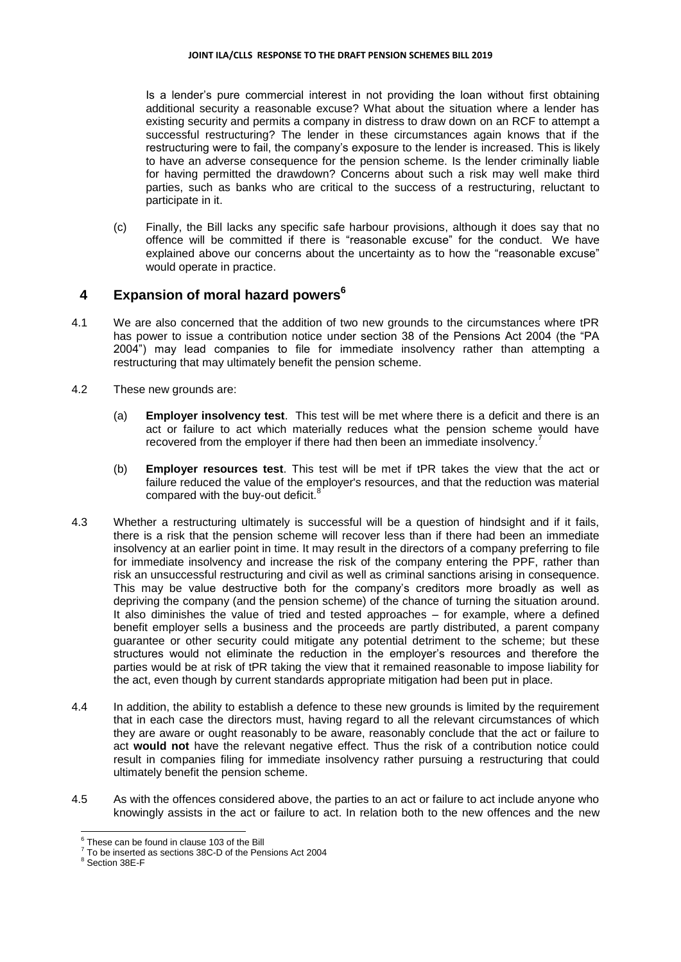Is a lender's pure commercial interest in not providing the loan without first obtaining additional security a reasonable excuse? What about the situation where a lender has existing security and permits a company in distress to draw down on an RCF to attempt a successful restructuring? The lender in these circumstances again knows that if the restructuring were to fail, the company's exposure to the lender is increased. This is likely to have an adverse consequence for the pension scheme. Is the lender criminally liable for having permitted the drawdown? Concerns about such a risk may well make third parties, such as banks who are critical to the success of a restructuring, reluctant to participate in it.

(c) Finally, the Bill lacks any specific safe harbour provisions, although it does say that no offence will be committed if there is "reasonable excuse" for the conduct. We have explained above our concerns about the uncertainty as to how the "reasonable excuse" would operate in practice.

## **4 Expansion of moral hazard powers<sup>6</sup>**

- 4.1 We are also concerned that the addition of two new grounds to the circumstances where tPR has power to issue a contribution notice under section 38 of the Pensions Act 2004 (the "PA 2004") may lead companies to file for immediate insolvency rather than attempting a restructuring that may ultimately benefit the pension scheme.
- 4.2 These new grounds are:
	- (a) **Employer insolvency test**. This test will be met where there is a deficit and there is an act or failure to act which materially reduces what the pension scheme would have recovered from the employer if there had then been an immediate insolvency.<sup>7</sup>
	- (b) **Employer resources test**. This test will be met if tPR takes the view that the act or failure reduced the value of the employer's resources, and that the reduction was material compared with the buy-out deficit. $8$
- 4.3 Whether a restructuring ultimately is successful will be a question of hindsight and if it fails, there is a risk that the pension scheme will recover less than if there had been an immediate insolvency at an earlier point in time. It may result in the directors of a company preferring to file for immediate insolvency and increase the risk of the company entering the PPF, rather than risk an unsuccessful restructuring and civil as well as criminal sanctions arising in consequence. This may be value destructive both for the company's creditors more broadly as well as depriving the company (and the pension scheme) of the chance of turning the situation around. It also diminishes the value of tried and tested approaches – for example, where a defined benefit employer sells a business and the proceeds are partly distributed, a parent company guarantee or other security could mitigate any potential detriment to the scheme; but these structures would not eliminate the reduction in the employer's resources and therefore the parties would be at risk of tPR taking the view that it remained reasonable to impose liability for the act, even though by current standards appropriate mitigation had been put in place.
- 4.4 In addition, the ability to establish a defence to these new grounds is limited by the requirement that in each case the directors must, having regard to all the relevant circumstances of which they are aware or ought reasonably to be aware, reasonably conclude that the act or failure to act **would not** have the relevant negative effect. Thus the risk of a contribution notice could result in companies filing for immediate insolvency rather pursuing a restructuring that could ultimately benefit the pension scheme.
- 4.5 As with the offences considered above, the parties to an act or failure to act include anyone who knowingly assists in the act or failure to act. In relation both to the new offences and the new

ł  $^6$  These can be found in clause 103 of the Bill

 $7$  To be inserted as sections 38C-D of the Pensions Act 2004

<sup>8</sup> Section 38E-F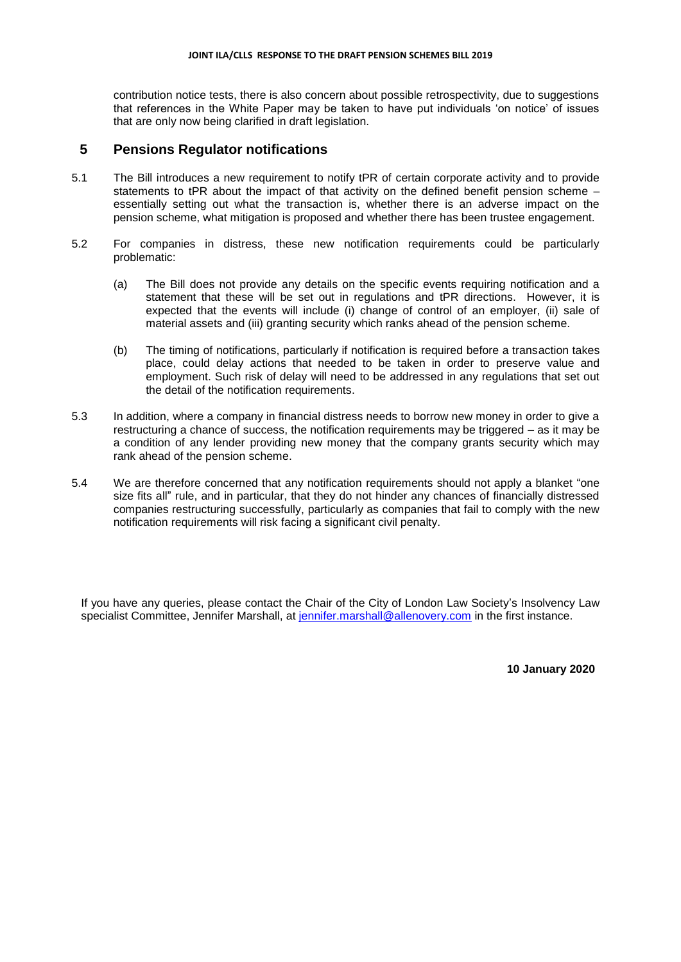#### **JOINT ILA/CLLS RESPONSE TO THE DRAFT PENSION SCHEMES BILL 2019**

contribution notice tests, there is also concern about possible retrospectivity, due to suggestions that references in the White Paper may be taken to have put individuals 'on notice' of issues that are only now being clarified in draft legislation.

## **5 Pensions Regulator notifications**

- 5.1 The Bill introduces a new requirement to notify tPR of certain corporate activity and to provide statements to tPR about the impact of that activity on the defined benefit pension scheme – essentially setting out what the transaction is, whether there is an adverse impact on the pension scheme, what mitigation is proposed and whether there has been trustee engagement.
- 5.2 For companies in distress, these new notification requirements could be particularly problematic:
	- (a) The Bill does not provide any details on the specific events requiring notification and a statement that these will be set out in regulations and tPR directions. However, it is expected that the events will include (i) change of control of an employer, (ii) sale of material assets and (iii) granting security which ranks ahead of the pension scheme.
	- (b) The timing of notifications, particularly if notification is required before a transaction takes place, could delay actions that needed to be taken in order to preserve value and employment. Such risk of delay will need to be addressed in any regulations that set out the detail of the notification requirements.
- 5.3 In addition, where a company in financial distress needs to borrow new money in order to give a restructuring a chance of success, the notification requirements may be triggered – as it may be a condition of any lender providing new money that the company grants security which may rank ahead of the pension scheme.
- 5.4 We are therefore concerned that any notification requirements should not apply a blanket "one size fits all" rule, and in particular, that they do not hinder any chances of financially distressed companies restructuring successfully, particularly as companies that fail to comply with the new notification requirements will risk facing a significant civil penalty.

If you have any queries, please contact the Chair of the City of London Law Society's Insolvency Law specialist Committee, Jennifer Marshall, at [jennifer.marshall@allenovery.com](mailto:jennifer.marshall@allenovery.com) in the first instance.

**10 January 2020**